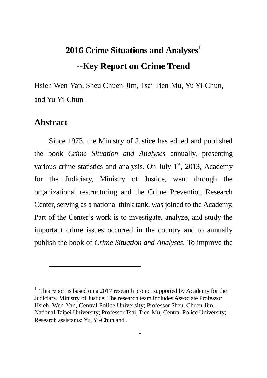# **2016 Crime Situations and Analyses<sup>1</sup>** --**Key Report on Crime Trend**

Hsieh Wen-Yan, Sheu Chuen-Jim, Tsai Tien-Mu, Yu Yi-Chun, and Yu Yi-Chun

#### **Abstract**

 $\overline{a}$ 

Since 1973, the Ministry of Justice has edited and published the book *Crime Situation and Analyses* annually, presenting various crime statistics and analysis. On July  $1<sup>st</sup>$ , 2013, Academy for the Judiciary, Ministry of Justice, went through the organizational restructuring and the Crime Prevention Research Center, serving as a national think tank, was joined to the Academy. Part of the Center's work is to investigate, analyze, and study the important crime issues occurred in the country and to annually publish the book of *Crime Situation and Analyses*. To improve the

 $1$  This report is based on a 2017 research project supported by Academy for the Judiciary, Ministry of Justice. The research team includes Associate Professor Hsieh, Wen-Yan, Central Police University; Professor Sheu, Chuen-Jim, National Taipei University; Professor Tsai, Tien-Mu, Central Police University; Research assistants: Yu, Yi-Chun and .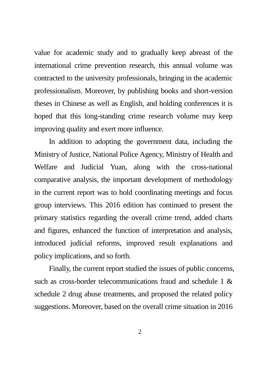value for academic study and to gradually keep abreast of the international crime prevention research, this annual volume was contracted to the university professionals, bringing in the academic professionalism. Moreover, by publishing books and short-version theses in Chinese as well as English, and holding conferences it is hoped that this long-standing crime research volume may keep improving quality and exert more influence.

In addition to adopting the government data, including the Ministry of Justice, National Police Agency, Ministry of Health and Welfare and Judicial Yuan, along with the cross-national comparative analysis, the important development of methodology in the current report was to hold coordinating meetings and focus group interviews. This 2016 edition has continued to present the primary statistics regarding the overall crime trend, added charts and figures, enhanced the function of interpretation and analysis, introduced judicial reforms, improved result explanations and policy implications, and so forth.

Finally, the current report studied the issues of public concerns, such as cross-border telecommunications fraud and schedule 1 & schedule 2 drug abuse treatments, and proposed the related policy suggestions. Moreover, based on the overall crime situation in 2016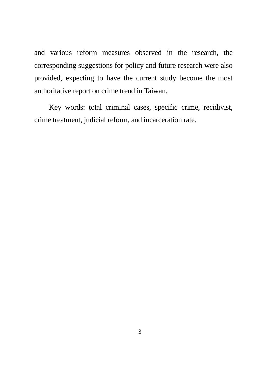and various reform measures observed in the research, the corresponding suggestions for policy and future research were also provided, expecting to have the current study become the most authoritative report on crime trend in Taiwan.

Key words: total criminal cases, specific crime, recidivist, crime treatment, judicial reform, and incarceration rate.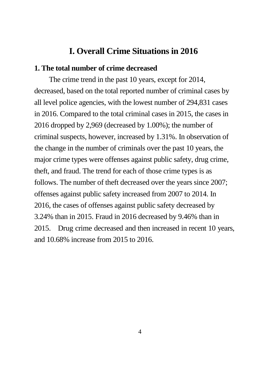#### **I. Overall Crime Situations in 2016**

#### **1. The total number of crime decreased**

The crime trend in the past 10 years, except for 2014, decreased, based on the total reported number of criminal cases by all level police agencies, with the lowest number of 294,831 cases in 2016. Compared to the total criminal cases in 2015, the cases in 2016 dropped by 2,969 (decreased by 1.00%); the number of criminal suspects, however, increased by 1.31%. In observation of the change in the number of criminals over the past 10 years, the major crime types were offenses against public safety, drug crime, theft, and fraud. The trend for each of those crime types is as follows. The number of theft decreased over the years since 2007; offenses against public safety increased from 2007 to 2014. In 2016, the cases of offenses against public safety decreased by 3.24% than in 2015. Fraud in 2016 decreased by 9.46% than in 2015. Drug crime decreased and then increased in recent 10 years, and 10.68% increase from 2015 to 2016.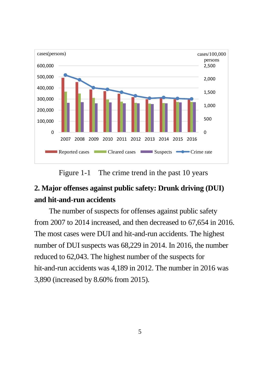

Figure 1-1 The crime trend in the past 10 years

## **2. Major offenses against public safety: Drunk driving (DUI) and hit-and-run accidents**

The number of suspects for offenses against public safety from 2007 to 2014 increased, and then decreased to 67,654 in 2016. The most cases were DUI and hit-and-run accidents. The highest number of DUI suspects was 68,229 in 2014. In 2016, the number reduced to 62,043. The highest number of the suspects for hit-and-run accidents was 4,189 in 2012. The number in 2016 was 3,890 (increased by 8.60% from 2015).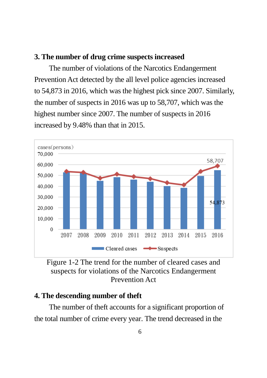#### **3. The number of drug crime suspects increased**

The number of violations of the Narcotics Endangerment Prevention Act detected by the all level police agencies increased to 54,873 in 2016, which was the highest pick since 2007. Similarly, the number of suspects in 2016 was up to 58,707, which was the highest number since 2007. The number of suspects in 2016 increased by 9.48% than that in 2015.



Figure 1-2 The trend for the number of cleared cases and suspects for violations of the Narcotics Endangerment Prevention Act

#### **4. The descending number of theft**

The number of theft accounts for a significant proportion of the total number of crime every year. The trend decreased in the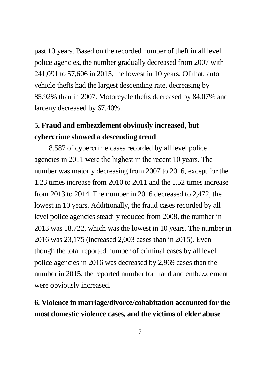past 10 years. Based on the recorded number of theft in all level police agencies, the number gradually decreased from 2007 with 241,091 to 57,606 in 2015, the lowest in 10 years. Of that, auto vehicle thefts had the largest descending rate, decreasing by 85.92% than in 2007. Motorcycle thefts decreased by 84.07% and larceny decreased by 67.40%.

### **5. Fraud and embezzlement obviously increased, but cybercrime showed a descending trend**

8,587 of cybercrime cases recorded by all level police agencies in 2011 were the highest in the recent 10 years. The number was majorly decreasing from 2007 to 2016, except for the 1.23 times increase from 2010 to 2011 and the 1.52 times increase from 2013 to 2014. The number in 2016 decreased to 2,472, the lowest in 10 years. Additionally, the fraud cases recorded by all level police agencies steadily reduced from 2008, the number in 2013 was 18,722, which was the lowest in 10 years. The number in 2016 was 23,175 (increased 2,003 cases than in 2015). Even though the total reported number of criminal cases by all level police agencies in 2016 was decreased by 2,969 cases than the number in 2015, the reported number for fraud and embezzlement were obviously increased.

#### **6. Violence in marriage/divorce/cohabitation accounted for the most domestic violence cases, and the victims of elder abuse**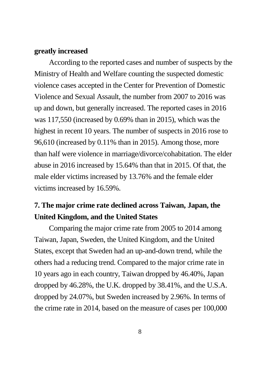#### **greatly increased**

According to the reported cases and number of suspects by the Ministry of Health and Welfare counting the suspected domestic violence cases accepted in the Center for Prevention of Domestic Violence and Sexual Assault, the number from 2007 to 2016 was up and down, but generally increased. The reported cases in 2016 was 117,550 (increased by 0.69% than in 2015), which was the highest in recent 10 years. The number of suspects in 2016 rose to 96,610 (increased by 0.11% than in 2015). Among those, more than half were violence in marriage/divorce/cohabitation. The elder abuse in 2016 increased by 15.64% than that in 2015. Of that, the male elder victims increased by 13.76% and the female elder victims increased by 16.59%.

#### **7. The major crime rate declined across Taiwan, Japan, the United Kingdom, and the United States**

Comparing the major crime rate from 2005 to 2014 among Taiwan, Japan, Sweden, the United Kingdom, and the United States, except that Sweden had an up-and-down trend, while the others had a reducing trend. Compared to the major crime rate in 10 years ago in each country, Taiwan dropped by 46.40%, Japan dropped by 46.28%, the U.K. dropped by 38.41%, and the U.S.A. dropped by 24.07%, but Sweden increased by 2.96%. In terms of the crime rate in 2014, based on the measure of cases per 100,000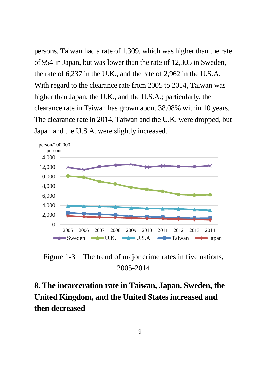persons, Taiwan had a rate of 1,309, which was higher than the rate of 954 in Japan, but was lower than the rate of 12,305 in Sweden, the rate of 6,237 in the U.K., and the rate of 2,962 in the U.S.A. With regard to the clearance rate from 2005 to 2014, Taiwan was higher than Japan, the U.K., and the U.S.A.; particularly, the clearance rate in Taiwan has grown about 38.08% within 10 years. The clearance rate in 2014, Taiwan and the U.K. were dropped, but Japan and the U.S.A. were slightly increased.



Figure 1-3 The trend of major crime rates in five nations, 2005-2014

**8. The incarceration rate in Taiwan, Japan, Sweden, the United Kingdom, and the United States increased and then decreased**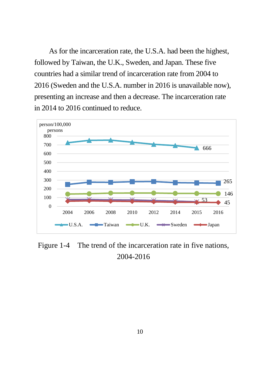As for the incarceration rate, the U.S.A. had been the highest, followed by Taiwan, the U.K., Sweden, and Japan. These five countries had a similar trend of incarceration rate from 2004 to 2016 (Sweden and the U.S.A. number in 2016 is unavailable now), presenting an increase and then a decrease. The incarceration rate in 2014 to 2016 continued to reduce.



Figure 1-4 The trend of the incarceration rate in five nations, 2004-2016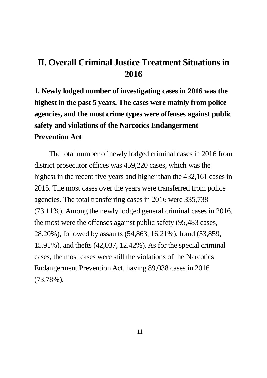## **II. Overall Criminal Justice Treatment Situations in 2016**

**1. Newly lodged number of investigating cases in 2016 was the highest in the past 5 years. The cases were mainly from police agencies, and the most crime types were offenses against public safety and violations of the Narcotics Endangerment Prevention Act**

The total number of newly lodged criminal cases in 2016 from district prosecutor offices was 459,220 cases, which was the highest in the recent five years and higher than the 432,161 cases in 2015. The most cases over the years were transferred from police agencies. The total transferring cases in 2016 were 335,738 (73.11%). Among the newly lodged general criminal cases in 2016, the most were the offenses against public safety (95,483 cases, 28.20%), followed by assaults (54,863, 16.21%), fraud (53,859, 15.91%), and thefts (42,037, 12.42%). As for the special criminal cases, the most cases were still the violations of the Narcotics Endangerment Prevention Act, having 89,038 cases in 2016 (73.78%).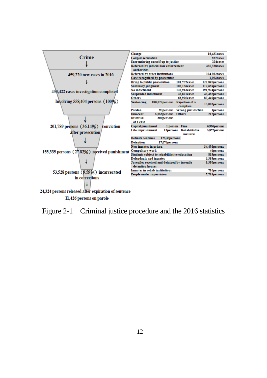

11,426 persons on parole

Figure 2-1 Criminal justice procedure and the 2016 statistics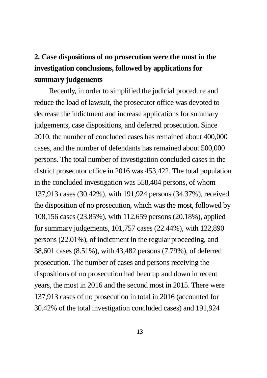## **2. Case dispositions of no prosecution were the most in the investigation conclusions, followed by applications for summary judgements**

Recently, in order to simplified the judicial procedure and reduce the load of lawsuit, the prosecutor office was devoted to decrease the indictment and increase applications for summary judgements, case dispositions, and deferred prosecution. Since 2010, the number of concluded cases has remained about 400,000 cases, and the number of defendants has remained about 500,000 persons. The total number of investigation concluded cases in the district prosecutor office in 2016 was 453,422. The total population in the concluded investigation was 558,404 persons, of whom 137,913 cases (30.42%), with 191,924 persons (34.37%), received the disposition of no prosecution, which was the most, followed by 108,156 cases (23.85%), with 112,659 persons (20.18%), applied for summary judgements, 101,757 cases (22.44%), with 122,890 persons (22.01%), of indictment in the regular proceeding, and 38,601 cases (8.51%), with 43,482 persons (7.79%), of deferred prosecution. The number of cases and persons receiving the dispositions of no prosecution had been up and down in recent years, the most in 2016 and the second most in 2015. There were 137,913 cases of no prosecution in total in 2016 (accounted for 30.42% of the total investigation concluded cases) and 191,924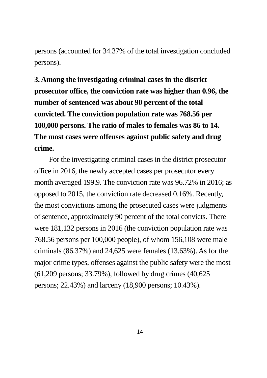persons (accounted for 34.37% of the total investigation concluded persons).

**3. Among the investigating criminal cases in the district prosecutor office, the conviction rate was higher than 0.96, the number of sentenced was about 90 percent of the total convicted. The conviction population rate was 768.56 per 100,000 persons. The ratio of males to females was 86 to 14. The most cases were offenses against public safety and drug crime.** 

For the investigating criminal cases in the district prosecutor office in 2016, the newly accepted cases per prosecutor every month averaged 199.9. The conviction rate was 96.72% in 2016; as opposed to 2015, the conviction rate decreased 0.16%. Recently, the most convictions among the prosecuted cases were judgments of sentence, approximately 90 percent of the total convicts. There were 181,132 persons in 2016 (the conviction population rate was 768.56 persons per 100,000 people), of whom 156,108 were male criminals (86.37%) and 24,625 were females (13.63%). As for the major crime types, offenses against the public safety were the most (61,209 persons; 33.79%), followed by drug crimes (40,625 persons; 22.43%) and larceny (18,900 persons; 10.43%).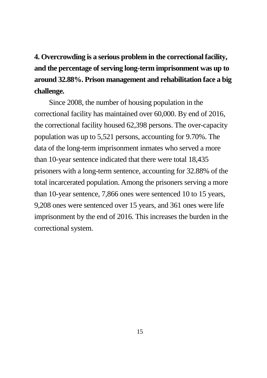**4. Overcrowding is a serious problem in the correctional facility, and the percentage of serving long-term imprisonment was up to around 32.88%. Prison management and rehabilitation face a big challenge.** 

Since 2008, the number of housing population in the correctional facility has maintained over 60,000. By end of 2016, the correctional facility housed 62,398 persons. The over-capacity population was up to 5,521 persons, accounting for 9.70%. The data of the long-term imprisonment inmates who served a more than 10-year sentence indicated that there were total 18,435 prisoners with a long-term sentence, accounting for 32.88% of the total incarcerated population. Among the prisoners serving a more than 10-year sentence, 7,866 ones were sentenced 10 to 15 years, 9,208 ones were sentenced over 15 years, and 361 ones were life imprisonment by the end of 2016. This increases the burden in the correctional system.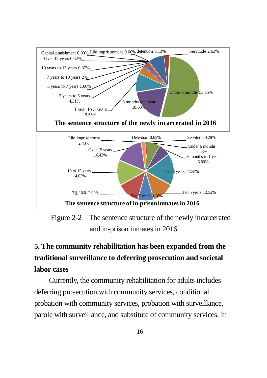

Figure 2-2 The sentence structure of the newly incarcerated and in-prison inmates in 2016

## **5. The community rehabilitation has been expanded from the traditional surveillance to deferring prosecution and societal labor cases**

Currently, the community rehabilitation for adults includes deferring prosecution with community services, conditional probation with community services, probation with surveillance, parole with surveillance, and substitute of community services. In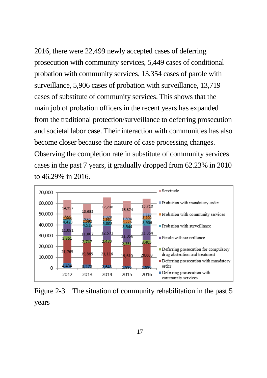2016, there were 22,499 newly accepted cases of deferring prosecution with community services, 5,449 cases of conditional probation with community services, 13,354 cases of parole with surveillance, 5,906 cases of probation with surveillance, 13,719 cases of substitute of community services. This shows that the main job of probation officers in the recent years has expanded from the traditional protection/surveillance to deferring prosecution and societal labor case. Their interaction with communities has also become closer because the nature of case processing changes. Observing the completion rate in substitute of community services cases in the past 7 years, it gradually dropped from 62.23% in 2010 to 46.29% in 2016.



Figure 2-3 The situation of community rehabilitation in the past 5 years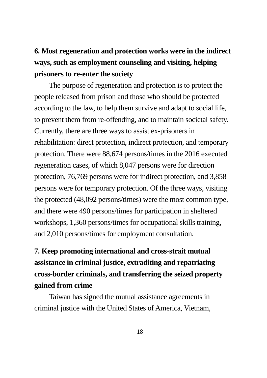## **6. Most regeneration and protection works were in the indirect ways, such as employment counseling and visiting, helping prisoners to re-enter the society**

The purpose of regeneration and protection is to protect the people released from prison and those who should be protected according to the law, to help them survive and adapt to social life, to prevent them from re-offending, and to maintain societal safety. Currently, there are three ways to assist ex-prisoners in rehabilitation: direct protection, indirect protection, and temporary protection. There were 88,674 persons/times in the 2016 executed regeneration cases, of which 8,047 persons were for direction protection, 76,769 persons were for indirect protection, and 3,858 persons were for temporary protection. Of the three ways, visiting the protected (48,092 persons/times) were the most common type, and there were 490 persons/times for participation in sheltered workshops, 1,360 persons/times for occupational skills training, and 2,010 persons/times for employment consultation.

## **7. Keep promoting international and cross-strait mutual assistance in criminal justice, extraditing and repatriating cross-border criminals, and transferring the seized property gained from crime**

Taiwan has signed the mutual assistance agreements in criminal justice with the United States of America, Vietnam,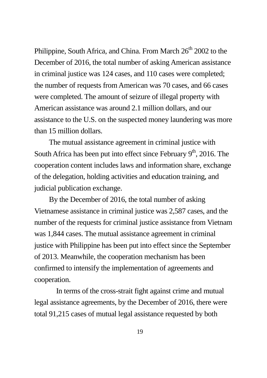Philippine, South Africa, and China. From March 26<sup>th</sup> 2002 to the December of 2016, the total number of asking American assistance in criminal justice was 124 cases, and 110 cases were completed; the number of requests fromAmerican was 70 cases, and 66 cases were completed. The amount of seizure of illegal property with American assistance was around 2.1 million dollars, and our assistance to the U.S. on the suspected money laundering was more than 15 million dollars.

The mutual assistance agreement in criminal justice with South Africa has been put into effect since February  $9<sup>th</sup>$ , 2016. The cooperation content includes laws and information share, exchange of the delegation, holding activities and education training, and judicial publication exchange.

By the December of 2016, the total number of asking Vietnamese assistance in criminal justice was 2,587 cases, and the number of the requests for criminal justice assistance from Vietnam was 1,844 cases. The mutual assistance agreement in criminal justice with Philippine has been put into effect since the September of 2013. Meanwhile, the cooperation mechanism has been confirmed to intensify the implementation of agreements and cooperation.

 In terms of the cross-strait fight against crime and mutual legal assistance agreements, by the December of 2016, there were total 91,215 cases of mutual legal assistance requested by both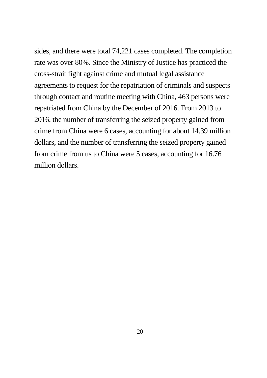sides, and there were total 74,221 cases completed. The completion rate was over 80%. Since the Ministry of Justice has practiced the cross-strait fight against crime and mutual legal assistance agreements to request for the repatriation of criminals and suspects through contact and routine meeting with China, 463 persons were repatriated from China by the December of 2016. From 2013 to 2016, the number of transferring the seized property gained from crime from China were 6 cases, accounting for about 14.39 million dollars, and the number of transferring the seized property gained from crime from us to China were 5 cases, accounting for 16.76 million dollars.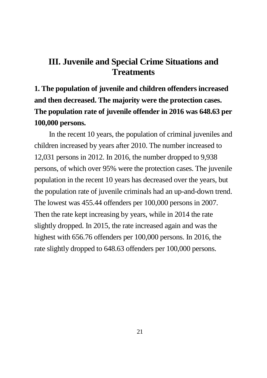#### **III. Juvenile and Special Crime Situations and Treatments**

**1. The population of juvenile and children offenders increased and then decreased. The majority were the protection cases. The population rate of juvenile offender in 2016 was 648.63 per 100,000 persons.**

In the recent 10 years, the population of criminal juveniles and children increased by years after 2010. The number increased to 12,031 persons in 2012. In 2016, the number dropped to 9,938 persons, of which over 95% were the protection cases. The juvenile population in the recent 10 years has decreased over the years, but the population rate of juvenile criminals had an up-and-down trend. The lowest was 455.44 offenders per 100,000 persons in 2007. Then the rate kept increasing by years, while in 2014 the rate slightly dropped. In 2015, the rate increased again and was the highest with 656.76 offenders per 100,000 persons. In 2016, the rate slightly dropped to 648.63 offenders per 100,000 persons.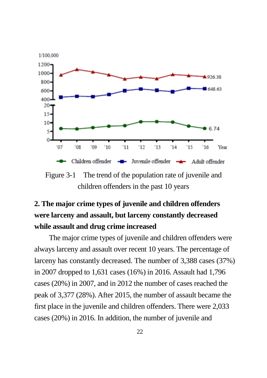

Figure 3-1 The trend of the population rate of juvenile and children offenders in the past 10 years

## **2. The major crime types of juvenile and children offenders were larceny and assault, but larceny constantly decreased while assault and drug crime increased**

The major crime types of juvenile and children offenders were always larceny and assault over recent 10 years. The percentage of larceny has constantly decreased. The number of 3,388 cases (37%) in 2007 dropped to 1,631 cases (16%) in 2016. Assault had 1,796 cases (20%) in 2007, and in 2012 the number of cases reached the peak of 3,377 (28%). After 2015, the number of assault became the first place in the juvenile and children offenders. There were 2,033 cases (20%) in 2016. In addition, the number of juvenile and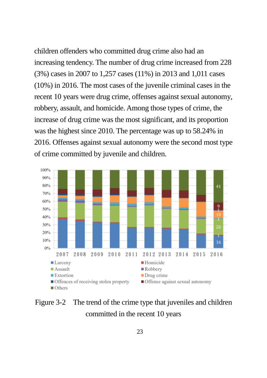children offenders who committed drug crime also had an increasing tendency. The number of drug crime increased from 228 (3%) cases in 2007 to 1,257 cases (11%) in 2013 and 1,011 cases (10%) in 2016. The most cases of the juvenile criminal cases in the recent 10 years were drug crime, offenses against sexual autonomy, robbery, assault, and homicide. Among those types of crime, the increase of drug crime was the most significant, and its proportion was the highest since 2010. The percentage was up to 58.24% in 2016. Offenses against sexual autonomy were the second most type of crime committed by juvenile and children.



Figure 3-2 The trend of the crime type that juveniles and children committed in the recent 10 years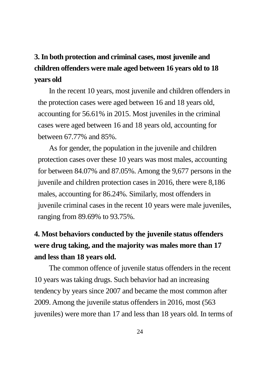## **3. In both protection and criminal cases, most juvenile and children offenders were male aged between 16 years old to 18 years old**

In the recent 10 years, most juvenile and children offenders in the protection cases were aged between 16 and 18 years old, accounting for 56.61% in 2015. Most juveniles in the criminal cases were aged between 16 and 18 years old, accounting for between 67.77% and 85%.

As for gender, the population in the juvenile and children protection cases over these 10 years was most males, accounting for between 84.07% and 87.05%. Among the 9,677 persons in the juvenile and children protection cases in 2016, there were 8,186 males, accounting for 86.24%. Similarly, most offenders in juvenile criminal cases in the recent 10 years were male juveniles, ranging from 89.69% to 93.75%.

## **4. Most behaviors conducted by the juvenile status offenders were drug taking, and the majority was males more than 17 and less than 18 years old.**

The common offence of juvenile status offenders in the recent 10 years was taking drugs. Such behavior had an increasing tendency by years since 2007 and became the most common after 2009. Among the juvenile status offenders in 2016, most (563 juveniles) were more than 17 and less than 18 years old. In terms of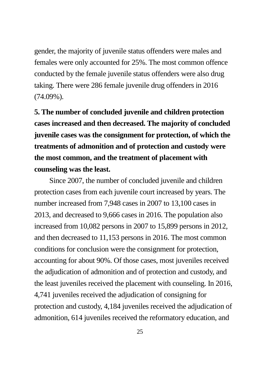gender, the majority of juvenile status offenders were males and females were only accounted for 25%. The most common offence conducted by the female juvenile status offenders were also drug taking. There were 286 female juvenile drug offenders in 2016 (74.09%).

**5. The number of concluded juvenile and children protection cases increased and then decreased. The majority of concluded juvenile cases was the consignment for protection, of which the treatments of admonition and of protection and custody were the most common, and the treatment of placement with counseling was the least.**

Since 2007, the number of concluded juvenile and children protection cases from each juvenile court increased by years. The number increased from 7,948 cases in 2007 to 13,100 cases in 2013, and decreased to 9,666 cases in 2016. The population also increased from 10,082 persons in 2007 to 15,899 persons in 2012, and then decreased to 11,153 persons in 2016. The most common conditions for conclusion were the consignment for protection, accounting for about 90%. Of those cases, most juveniles received the adjudication of admonition and of protection and custody, and the least juveniles received the placement with counseling. In 2016, 4,741 juveniles received the adjudication of consigning for protection and custody, 4,184 juveniles received the adjudication of admonition, 614 juveniles received the reformatory education, and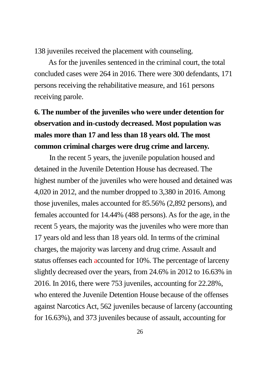138 juveniles received the placement with counseling.

 As for the juveniles sentenced in the criminal court, the total concluded cases were 264 in 2016. There were 300 defendants, 171 persons receiving the rehabilitative measure, and 161 persons receiving parole.

## **6. The number of the juveniles who were under detention for observation and in-custody decreased. Most population was males more than 17 and less than 18 years old. The most common criminal charges were drug crime and larceny.**

In the recent 5 years, the juvenile population housed and detained in the Juvenile Detention House has decreased. The highest number of the juveniles who were housed and detained was 4,020 in 2012, and the number dropped to 3,380 in 2016. Among those juveniles, males accounted for 85.56% (2,892 persons), and females accounted for 14.44% (488 persons). As for the age, in the recent 5 years, the majority was the juveniles who were more than 17 years old and less than 18 years old. In terms of the criminal charges, the majority was larceny and drug crime. Assault and status offenses each accounted for 10%. The percentage of larceny slightly decreased over the years, from 24.6% in 2012 to 16.63% in 2016. In 2016, there were 753 juveniles, accounting for 22.28%, who entered the Juvenile Detention House because of the offenses against Narcotics Act, 562 juveniles because of larceny (accounting for 16.63%), and 373 juveniles because of assault, accounting for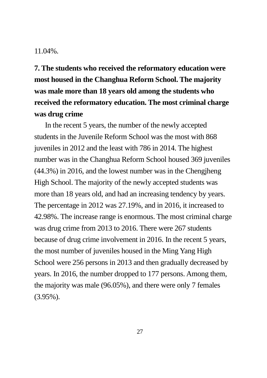#### 11.04%.

**7. The students who received the reformatory education were most housed in the Changhua Reform School. The majority was male more than 18 years old among the students who received the reformatory education. The most criminal charge was drug crime**

 In the recent 5 years, the number of the newly accepted students in the Juvenile Reform School was the most with 868 juveniles in 2012 and the least with 786 in 2014. The highest number was in the Changhua Reform School housed 369 juveniles (44.3%) in 2016, and the lowest number was in the Chengjheng High School. The majority of the newly accepted students was more than 18 years old, and had an increasing tendency by years. The percentage in 2012 was 27.19%, and in 2016, it increased to 42.98%. The increase range is enormous. The most criminal charge was drug crime from 2013 to 2016. There were 267 students because of drug crime involvement in 2016. In the recent 5 years, the most number of juveniles housed in the Ming Yang High School were 256 persons in 2013 and then gradually decreased by years. In 2016, the number dropped to 177 persons. Among them, the majority was male (96.05%), and there were only 7 females (3.95%).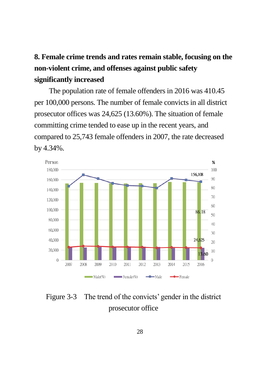## **8. Female crime trends and rates remain stable, focusing on the non-violent crime, and offenses against public safety significantly increased**

The population rate of female offenders in 2016 was 410.45 per 100,000 persons. The number of female convicts in all district prosecutor offices was 24,625 (13.60%). The situation of female committing crime tended to ease up in the recent years, and compared to 25,743 female offenders in 2007, the rate decreased by 4.34%.



Figure 3-3 The trend of the convicts' gender in the district prosecutor office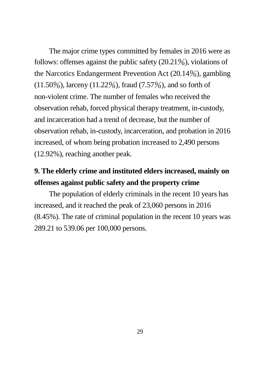The major crime types committed by females in 2016 were as follows: offenses against the public safety (20.21%), violations of the Narcotics Endangerment Prevention Act (20.14%), gambling  $(11.50\%)$ , larceny  $(11.22\%)$ , fraud  $(7.57\%)$ , and so forth of non-violent crime. The number of females who received the observation rehab, forced physical therapy treatment, in-custody, and incarceration had a trend of decrease, but the number of observation rehab, in-custody, incarceration, and probation in 2016 increased, of whom being probation increased to 2,490 persons (12.92%), reaching another peak.

#### **9. The elderly crime and instituted elders increased, mainly on offenses against public safety and the property crime**

The population of elderly criminals in the recent 10 years has increased, and it reached the peak of 23,060 persons in 2016 (8.45%). The rate of criminal population in the recent 10 years was 289.21 to 539.06 per 100,000 persons.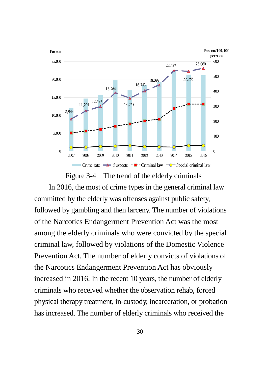

Figure 3-4 The trend of the elderly criminals In 2016, the most of crime types in the general criminal law committed by the elderly was offenses against public safety, followed by gambling and then larceny. The number of violations of the Narcotics Endangerment Prevention Act was the most among the elderly criminals who were convicted by the special criminal law, followed by violations of the Domestic Violence Prevention Act. The number of elderly convicts of violations of the Narcotics Endangerment Prevention Act has obviously increased in 2016. In the recent 10 years, the number of elderly criminals who received whether the observation rehab, forced physical therapy treatment, in-custody, incarceration, or probation has increased. The number of elderly criminals who received the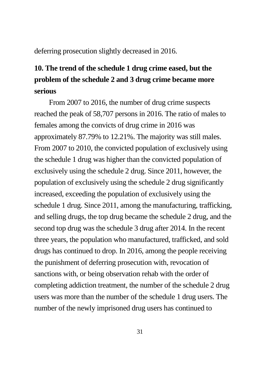deferring prosecution slightly decreased in 2016.

## **10. The trend of the schedule 1 drug crime eased, but the problem of the schedule 2 and 3 drug crime became more serious**

From 2007 to 2016, the number of drug crime suspects reached the peak of 58,707 persons in 2016. The ratio of males to females among the convicts of drug crime in 2016 was approximately 87.79% to 12.21%. The majority was still males. From 2007 to 2010, the convicted population of exclusively using the schedule 1 drug was higher than the convicted population of exclusively using the schedule 2 drug. Since 2011, however, the population of exclusively using the schedule 2 drug significantly increased, exceeding the population of exclusively using the schedule 1 drug. Since 2011, among the manufacturing, trafficking, and selling drugs, the top drug became the schedule 2 drug, and the second top drug was the schedule 3 drug after 2014. In the recent three years, the population who manufactured, trafficked, and sold drugs has continued to drop. In 2016, among the people receiving the punishment of deferring prosecution with, revocation of sanctions with, or being observation rehab with the order of completing addiction treatment, the number of the schedule 2 drug users was more than the number of the schedule 1 drug users. The number of the newly imprisoned drug users has continued to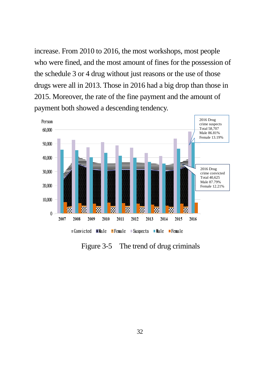increase. From 2010 to 2016, the most workshops, most people who were fined, and the most amount of fines for the possession of the schedule 3 or 4 drug without just reasons or the use of those drugs were all in 2013. Those in 2016 had a big drop than those in 2015. Moreover, the rate of the fine payment and the amount of payment both showed a descending tendency.



Figure 3-5 The trend of drug criminals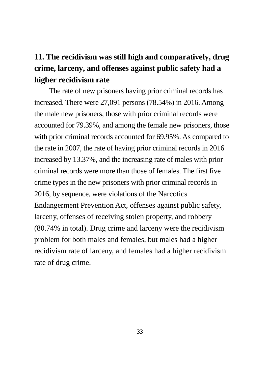## **11. The recidivism was still high and comparatively, drug crime, larceny, and offenses against public safety had a higher recidivism rate**

The rate of new prisoners having prior criminal records has increased. There were 27,091 persons (78.54%) in 2016. Among the male new prisoners, those with prior criminal records were accounted for 79.39%, and among the female new prisoners, those with prior criminal records accounted for 69.95%. As compared to the rate in 2007, the rate of having prior criminal records in 2016 increased by 13.37%, and the increasing rate of males with prior criminal records were more than those of females. The first five crime types in the new prisoners with prior criminal records in 2016, by sequence, were violations of the Narcotics Endangerment Prevention Act, offenses against public safety, larceny, offenses of receiving stolen property, and robbery (80.74% in total). Drug crime and larceny were the recidivism problem for both males and females, but males had a higher recidivism rate of larceny, and females had a higher recidivism rate of drug crime.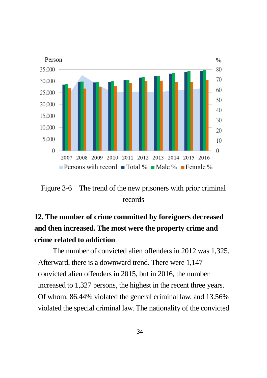

Figure 3-6 The trend of the new prisoners with prior criminal records

## **12. The number of crime committed by foreigners decreased and then increased. The most were the property crime and crime related to addiction**

The number of convicted alien offenders in 2012 was 1,325. Afterward, there is a downward trend. There were 1,147 convicted alien offenders in 2015, but in 2016, the number increased to 1,327 persons, the highest in the recent three years. Of whom, 86.44% violated the general criminal law, and 13.56% violated the special criminal law. The nationality of the convicted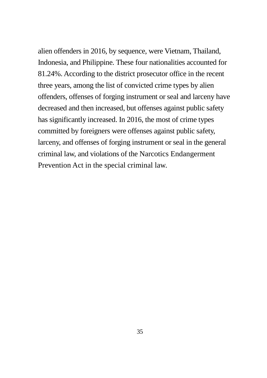alien offenders in 2016, by sequence, were Vietnam, Thailand, Indonesia, and Philippine. These four nationalities accounted for 81.24%. According to the district prosecutor office in the recent three years, among the list of convicted crime types by alien offenders, offenses of forging instrument or seal and larceny have decreased and then increased, but offenses against public safety has significantly increased. In 2016, the most of crime types committed by foreigners were offenses against public safety, larceny, and offenses of forging instrument or seal in the general criminal law, and violations of the Narcotics Endangerment Prevention Act in the special criminal law.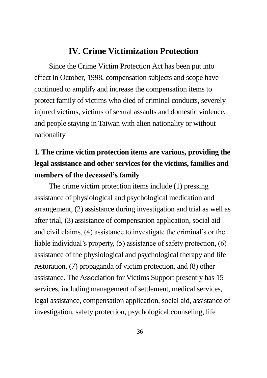#### **IV. Crime Victimization Protection**

Since the Crime Victim Protection Act has been put into effect in October, 1998, compensation subjects and scope have continued to amplify and increase the compensation items to protect family of victims who died of criminal conducts, severely injured victims, victims of sexual assaults and domestic violence, and people staying in Taiwan with alien nationality or without nationality

## **1. The crime victim protection items are various, providing the legal assistance and other services for the victims, families and members of the deceased's family**

The crime victim protection items include (1) pressing assistance of physiological and psychological medication and arrangement, (2) assistance during investigation and trial as well as after trial, (3) assistance of compensation application, social aid and civil claims, (4) assistance to investigate the criminal's or the liable individual's property, (5) assistance of safety protection, (6) assistance of the physiological and psychological therapy and life restoration, (7) propaganda of victim protection, and (8) other assistance. The Association for Victims Support presently has 15 services, including management of settlement, medical services, legal assistance, compensation application, social aid, assistance of investigation, safety protection, psychological counseling, life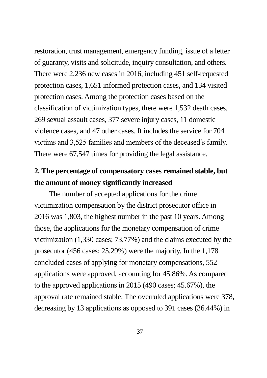restoration, trust management, emergency funding, issue of a letter of guaranty, visits and solicitude, inquiry consultation, and others. There were 2,236 new cases in 2016, including 451 self-requested protection cases, 1,651 informed protection cases, and 134 visited protection cases. Among the protection cases based on the classification of victimization types, there were 1,532 death cases, 269 sexual assault cases, 377 severe injury cases, 11 domestic violence cases, and 47 other cases. It includes the service for 704 victims and 3,525 families and members of the deceased's family. There were 67,547 times for providing the legal assistance.

#### **2. The percentage of compensatory cases remained stable, but the amount of money significantly increased**

The number of accepted applications for the crime victimization compensation by the district prosecutor office in 2016 was 1,803, the highest number in the past 10 years. Among those, the applications for the monetary compensation of crime victimization (1,330 cases; 73.77%) and the claims executed by the prosecutor (456 cases; 25.29%) were the majority. In the 1,178 concluded cases of applying for monetary compensations, 552 applications were approved, accounting for 45.86%. As compared to the approved applications in 2015 (490 cases; 45.67%), the approval rate remained stable. The overruled applications were 378, decreasing by 13 applications as opposed to 391 cases (36.44%) in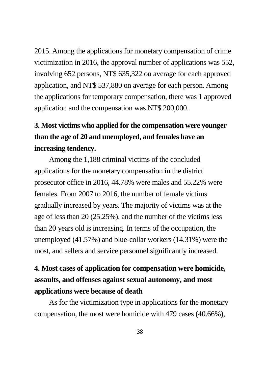2015. Among the applications for monetary compensation of crime victimization in 2016, the approval number of applications was 552, involving 652 persons, NT\$ 635,322 on average for each approved application, and NT\$ 537,880 on average for each person. Among the applications for temporary compensation, there was 1 approved application and the compensation was NT\$ 200,000.

## **3. Most victims who applied for the compensation were younger than the age of 20 and unemployed, and females have an increasing tendency.**

Among the 1,188 criminal victims of the concluded applications for the monetary compensation in the district prosecutor office in 2016, 44.78% were males and 55.22% were females. From 2007 to 2016, the number of female victims gradually increased by years. The majority of victims was at the age of less than 20 (25.25%), and the number of the victims less than 20 years old is increasing. In terms of the occupation, the unemployed (41.57%) and blue-collar workers (14.31%) were the most, and sellers and service personnel significantly increased.

### **4. Most cases of application for compensation were homicide, assaults, and offenses against sexual autonomy, and most applications were because of death**

As for the victimization type in applications for the monetary compensation, the most were homicide with 479 cases (40.66%),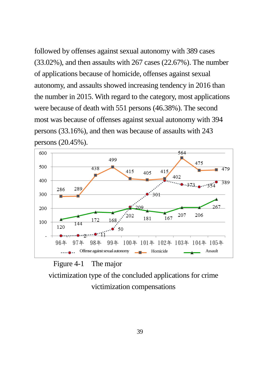followed by offenses against sexual autonomy with 389 cases (33.02%), and then assaults with 267 cases (22.67%). The number of applications because of homicide, offenses against sexual autonomy, and assaults showed increasing tendency in 2016 than the number in 2015. With regard to the category, most applications were because of death with 551 persons (46.38%). The second most was because of offenses against sexual autonomy with 394 persons (33.16%), and then was because of assaults with 243 persons (20.45%).



Figure 4-1 The major victimization type of the concluded applications for crime victimization compensations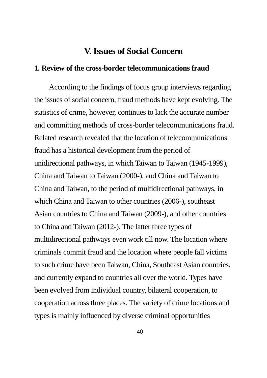#### **V. Issues of Social Concern**

#### **1. Review of the cross-border telecommunications fraud**

According to the findings of focus group interviews regarding the issues of social concern, fraud methods have kept evolving. The statistics of crime, however, continues to lack the accurate number and committing methods of cross-border telecommunications fraud. Related research revealed that the location of telecommunications fraud has a historical development from the period of unidirectional pathways, in which Taiwan to Taiwan (1945-1999), China and Taiwan to Taiwan (2000-), and China and Taiwan to China and Taiwan, to the period of multidirectional pathways, in which China and Taiwan to other countries (2006-), southeast Asian countries to China and Taiwan (2009-), and other countries to China and Taiwan (2012-). The latter three types of multidirectional pathways even work till now. The location where criminals commit fraud and the location where people fall victims to such crime have been Taiwan, China, Southeast Asian countries, and currently expand to countries all over the world. Types have been evolved from individual country, bilateral cooperation, to cooperation across three places. The variety of crime locations and types is mainly influenced by diverse criminal opportunities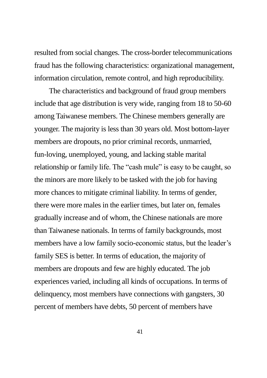resulted from social changes. The cross-border telecommunications fraud has the following characteristics: organizational management, information circulation, remote control, and high reproducibility.

The characteristics and background of fraud group members include that age distribution is very wide, ranging from 18 to 50-60 among Taiwanese members. The Chinese members generally are younger. The majority is less than 30 years old. Most bottom-layer members are dropouts, no prior criminal records, unmarried, fun-loving, unemployed, young, and lacking stable marital relationship or family life. The "cash mule" is easy to be caught, so the minors are more likely to be tasked with the job for having more chances to mitigate criminal liability. In terms of gender, there were more males in the earlier times, but later on, females gradually increase and of whom, the Chinese nationals are more than Taiwanese nationals. In terms of family backgrounds, most members have a low family socio-economic status, but the leader's family SES is better. In terms of education, the majority of members are dropouts and few are highly educated. The job experiences varied, including all kinds of occupations. In terms of delinquency, most members have connections with gangsters, 30 percent of members have debts, 50 percent of members have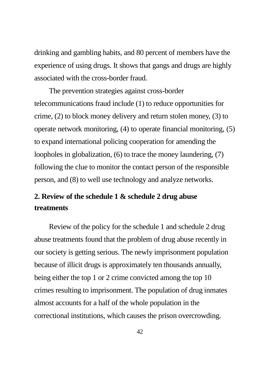drinking and gambling habits, and 80 percent of members have the experience of using drugs. It shows that gangs and drugs are highly associated with the cross-border fraud.

The prevention strategies against cross-border telecommunications fraud include (1) to reduce opportunities for crime, (2) to block money delivery and return stolen money, (3) to operate network monitoring, (4) to operate financial monitoring, (5) to expand international policing cooperation for amending the loopholes in globalization, (6) to trace the money laundering, (7) following the clue to monitor the contact person of the responsible person, and (8) to well use technology and analyze networks.

### **2. Review of the schedule 1 & schedule 2 drug abuse treatments**

Review of the policy for the schedule 1 and schedule 2 drug abuse treatments found that the problem of drug abuse recently in our society is getting serious. The newly imprisonment population because of illicit drugs is approximately ten thousands annually, being either the top 1 or 2 crime convicted among the top 10 crimes resulting to imprisonment. The population of drug inmates almost accounts for a half of the whole population in the correctional institutions, which causes the prison overcrowding.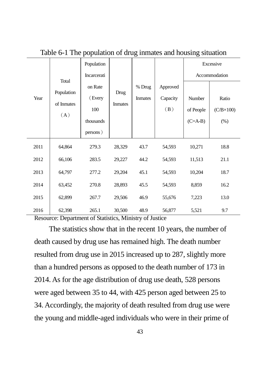| Year | Total<br>Population<br>of Inmates<br>(A) | Population  |                        |                |          | Excessive     |                    |
|------|------------------------------------------|-------------|------------------------|----------------|----------|---------------|--------------------|
|      |                                          | Incarcerati |                        |                |          | Accommodation |                    |
|      |                                          | on Rate     | Drug<br><b>Inmates</b> | % Drug         | Approved |               |                    |
|      |                                          | (Every      |                        | <b>Inmates</b> | Capacity | Number        | Ratio              |
|      |                                          | 100         |                        |                | (B)      | of People     | $(C/B \times 100)$ |
|      |                                          | thousands   |                        |                |          | $(C=A-B)$     | (% )               |
|      |                                          | persons)    |                        |                |          |               |                    |
| 2011 | 64,864                                   | 279.3       | 28,329                 | 43.7           | 54,593   | 10,271        | 18.8               |
| 2012 | 66,106                                   | 283.5       | 29,227                 | 44.2           | 54,593   | 11,513        | 21.1               |
| 2013 | 64,797                                   | 277.2       | 29,204                 | 45.1           | 54,593   | 10,204        | 18.7               |
| 2014 | 63,452                                   | 270.8       | 28,893                 | 45.5           | 54,593   | 8,859         | 16.2               |
| 2015 | 62,899                                   | 267.7       | 29,506                 | 46.9           | 55,676   | 7,223         | 13.0               |
| 2016 | 62,398                                   | 265.1       | 30,500                 | 48.9           | 56,877   | 5,521         | 9.7                |

Table 6-1 The population of drug inmates and housing situation

Resource: Department of Statistics, Ministry of Justice

The statistics show that in the recent 10 years, the number of death caused by drug use has remained high. The death number resulted from drug use in 2015 increased up to 287, slightly more than a hundred persons as opposed to the death number of 173 in 2014. As for the age distribution of drug use death, 528 persons were aged between 35 to 44, with 425 person aged between 25 to 34. Accordingly, the majority of death resulted from drug use were the young and middle-aged individuals who were in their prime of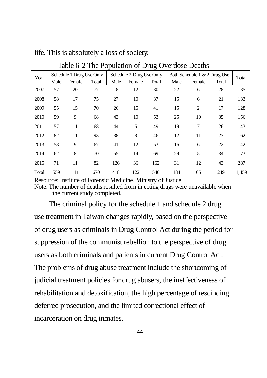| Year  | Schedule 1 Drug Use Only |        |       | Schedule 2 Drug Use Only |        |       | Both Schedule 1 & 2 Drug Use |                |       | Total |
|-------|--------------------------|--------|-------|--------------------------|--------|-------|------------------------------|----------------|-------|-------|
|       | Male                     | Female | Total | Male                     | Female | Total | Male                         | Female         | Total |       |
| 2007  | 57                       | 20     | 77    | 18                       | 12     | 30    | 22                           | 6              | 28    | 135   |
| 2008  | 58                       | 17     | 75    | 27                       | 10     | 37    | 15                           | 6              | 21    | 133   |
| 2009  | 55                       | 15     | 70    | 26                       | 15     | 41    | 15                           | $\overline{2}$ | 17    | 128   |
| 2010  | 59                       | 9      | 68    | 43                       | 10     | 53    | 25                           | 10             | 35    | 156   |
| 2011  | 57                       | 11     | 68    | 44                       | 5      | 49    | 19                           | 7              | 26    | 143   |
| 2012  | 82                       | 11     | 93    | 38                       | 8      | 46    | 12                           | 11             | 23    | 162   |
| 2013  | 58                       | 9      | 67    | 41                       | 12     | 53    | 16                           | 6              | 22    | 142   |
| 2014  | 62                       | 8      | 70    | 55                       | 14     | 69    | 29                           | 5              | 34    | 173   |
| 2015  | 71                       | 11     | 82    | 126                      | 36     | 162   | 31                           | 12             | 43    | 287   |
| Total | 559                      | 111    | 670   | 418                      | 122    | 540   | 184                          | 65             | 249   | 1,459 |

life. This is absolutely a loss of society.

Table 6-2 The Population of Drug Overdose Deaths

Resource: Institute of Forensic Medicine, Ministry of Justice

Note: The number of deaths resulted from injecting drugs were unavailable when the current study completed.

The criminal policy for the schedule 1 and schedule 2 drug use treatment in Taiwan changes rapidly, based on the perspective of drug users as criminals in Drug Control Act during the period for suppression of the communist rebellion to the perspective of drug users as both criminals and patients in current Drug Control Act. The problems of drug abuse treatment include the shortcoming of judicial treatment policies for drug abusers, the ineffectiveness of rehabilitation and detoxification, the high percentage of rescinding deferred prosecution, and the limited correctional effect of incarceration on drug inmates.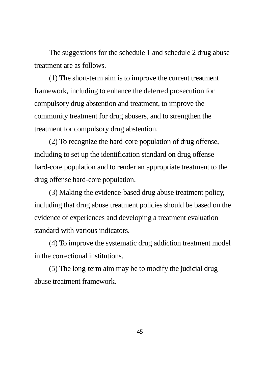The suggestions for the schedule 1 and schedule 2 drug abuse treatment are as follows.

(1) The short-term aim is to improve the current treatment framework, including to enhance the deferred prosecution for compulsory drug abstention and treatment, to improve the community treatment for drug abusers, and to strengthen the treatment for compulsory drug abstention.

(2) To recognize the hard-core population of drug offense, including to set up the identification standard on drug offense hard-core population and to render an appropriate treatment to the drug offense hard-core population.

(3) Making the evidence-based drug abuse treatment policy, including that drug abuse treatment policies should be based on the evidence of experiences and developing a treatment evaluation standard with various indicators.

(4) To improve the systematic drug addiction treatment model in the correctional institutions.

(5) The long-term aim may be to modify the judicial drug abuse treatment framework.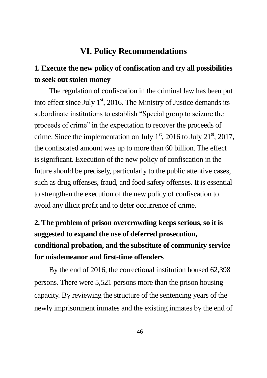#### **VI. Policy Recommendations**

### **1. Execute the new policy of confiscation and try all possibilities to seek out stolen money**

The regulation of confiscation in the criminal law has been put into effect since July  $1<sup>st</sup>$ , 2016. The Ministry of Justice demands its subordinate institutions to establish "Special group to seizure the proceeds of crime" in the expectation to recover the proceeds of crime. Since the implementation on July  $1<sup>st</sup>$ , 2016 to July 21 $<sup>st</sup>$ , 2017,</sup> the confiscated amount was up to more than 60 billion. The effect is significant. Execution of the new policy of confiscation in the future should be precisely, particularly to the public attentive cases, such as drug offenses, fraud, and food safety offenses. It is essential to strengthen the execution of the new policy of confiscation to avoid any illicit profit and to deter occurrence of crime.

## **2. The problem of prison overcrowding keeps serious, so it is suggested to expand the use of deferred prosecution, conditional probation, and the substitute of community service for misdemeanor and first-time offenders**

By the end of 2016, the correctional institution housed 62,398 persons. There were 5,521 persons more than the prison housing capacity. By reviewing the structure of the sentencing years of the newly imprisonment inmates and the existing inmates by the end of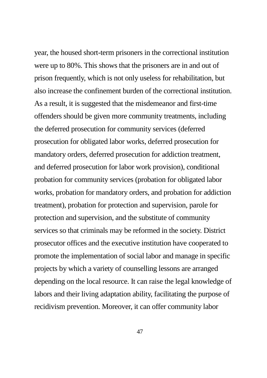year, the housed short-term prisoners in the correctional institution were up to 80%. This shows that the prisoners are in and out of prison frequently, which is not only useless for rehabilitation, but also increase the confinement burden of the correctional institution. As a result, it is suggested that the misdemeanor and first-time offenders should be given more community treatments, including the deferred prosecution for community services (deferred prosecution for obligated labor works, deferred prosecution for mandatory orders, deferred prosecution for addiction treatment, and deferred prosecution for labor work provision), conditional probation for community services (probation for obligated labor works, probation for mandatory orders, and probation for addiction treatment), probation for protection and supervision, parole for protection and supervision, and the substitute of community services so that criminals may be reformed in the society. District prosecutor offices and the executive institution have cooperated to promote the implementation of social labor and manage in specific projects by which a variety of counselling lessons are arranged depending on the local resource. It can raise the legal knowledge of labors and their living adaptation ability, facilitating the purpose of recidivism prevention. Moreover, it can offer community labor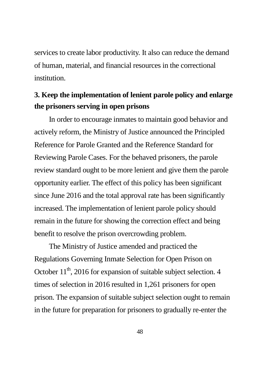services to create labor productivity. It also can reduce the demand of human, material, and financial resources in the correctional institution.

### **3. Keep the implementation of lenient parole policy and enlarge the prisoners serving in open prisons**

In order to encourage inmates to maintain good behavior and actively reform, the Ministry of Justice announced the Principled Reference for Parole Granted and the Reference Standard for Reviewing Parole Cases. For the behaved prisoners, the parole review standard ought to be more lenient and give them the parole opportunity earlier. The effect of this policy has been significant since June 2016 and the total approval rate has been significantly increased. The implementation of lenient parole policy should remain in the future for showing the correction effect and being benefit to resolve the prison overcrowding problem.

The Ministry of Justice amended and practiced the Regulations Governing Inmate Selection for Open Prison on October  $11<sup>th</sup>$ , 2016 for expansion of suitable subject selection. 4 times of selection in 2016 resulted in 1,261 prisoners for open prison. The expansion of suitable subject selection ought to remain in the future for preparation for prisoners to gradually re-enter the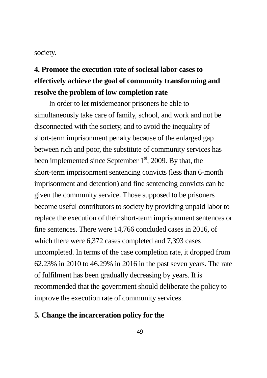#### society.

## **4. Promote the execution rate of societal labor cases to effectively achieve the goal of community transforming and resolve the problem of low completion rate**

In order to let misdemeanor prisoners be able to simultaneously take care of family, school, and work and not be disconnected with the society, and to avoid the inequality of short-term imprisonment penalty because of the enlarged gap between rich and poor, the substitute of community services has been implemented since September  $1<sup>st</sup>$ , 2009. By that, the short-term imprisonment sentencing convicts (less than 6-month imprisonment and detention) and fine sentencing convicts can be given the community service. Those supposed to be prisoners become useful contributors to society by providing unpaid labor to replace the execution of their short-term imprisonment sentences or fine sentences. There were 14,766 concluded cases in 2016, of which there were 6,372 cases completed and 7,393 cases uncompleted. In terms of the case completion rate, it dropped from 62.23% in 2010 to 46.29% in 2016 in the past seven years. The rate of fulfilment has been gradually decreasing by years. It is recommended that the government should deliberate the policy to improve the execution rate of community services.

#### **5. Change the incarceration policy for the**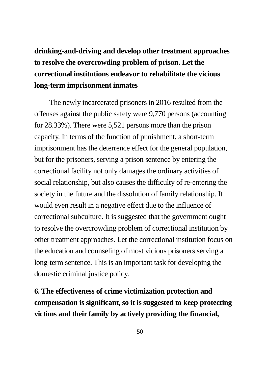## **drinking-and-driving and develop other treatment approaches to resolve the overcrowding problem of prison. Let the correctional institutions endeavor to rehabilitate the vicious long-term imprisonment inmates**

The newly incarcerated prisoners in 2016 resulted from the offenses against the public safety were 9,770 persons (accounting for 28.33%). There were 5,521 persons more than the prison capacity. In terms of the function of punishment, a short-term imprisonment has the deterrence effect for the general population, but for the prisoners, serving a prison sentence by entering the correctional facility not only damages the ordinary activities of social relationship, but also causes the difficulty of re-entering the society in the future and the dissolution of family relationship. It would even result in a negative effect due to the influence of correctional subculture. It is suggested that the government ought to resolve the overcrowding problem of correctional institution by other treatment approaches. Let the correctional institution focus on the education and counseling of most vicious prisoners serving a long-term sentence. This is an important task for developing the domestic criminal justice policy.

**6. The effectiveness of crime victimization protection and compensation is significant, so it is suggested to keep protecting victims and their family by actively providing the financial,**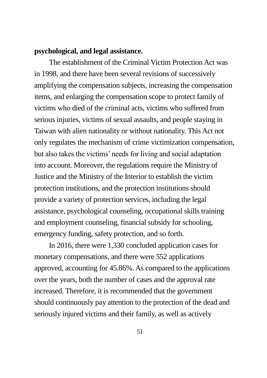#### **psychological, and legal assistance.**

The establishment of the Criminal Victim Protection Act was in 1998, and there have been several revisions of successively amplifying the compensation subjects, increasing the compensation items, and enlarging the compensation scope to protect family of victims who died of the criminal acts, victims who suffered from serious injuries, victims of sexual assaults, and people staying in Taiwan with alien nationality or without nationality. This Act not only regulates the mechanism of crime victimization compensation, but also takes the victims' needs for living and social adaptation into account. Moreover, the regulations require the Ministry of Justice and the Ministry of the Interior to establish the victim protection institutions, and the protection institutions should provide a variety of protection services, including the legal assistance, psychological counseling, occupational skills training and employment counseling, financial subsidy for schooling, emergency funding, safety protection, and so forth.

In 2016, there were 1,330 concluded application cases for monetary compensations, and there were 552 applications approved, accounting for 45.86%. As compared to the applications over the years, both the number of cases and the approval rate increased. Therefore, it is recommended that the government should continuously pay attention to the protection of the dead and seriously injured victims and their family, as well as actively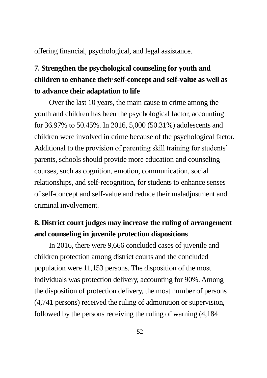offering financial, psychological, and legal assistance.

## **7. Strengthen the psychological counseling for youth and children to enhance their self-concept and self-value as well as to advance their adaptation to life**

Over the last 10 years, the main cause to crime among the youth and children has been the psychological factor, accounting for 36.97% to 50.45%. In 2016, 5,000 (50.31%) adolescents and children were involved in crime because of the psychological factor. Additional to the provision of parenting skill training for students' parents, schools should provide more education and counseling courses, such as cognition, emotion, communication, social relationships, and self-recognition, for students to enhance senses of self-concept and self-value and reduce their maladjustment and criminal involvement.

#### **8. District court judges may increase the ruling of arrangement and counseling in juvenile protection dispositions**

In 2016, there were 9,666 concluded cases of juvenile and children protection among district courts and the concluded population were 11,153 persons. The disposition of the most individuals was protection delivery, accounting for 90%. Among the disposition of protection delivery, the most number of persons (4,741 persons) received the ruling of admonition or supervision, followed by the persons receiving the ruling of warning (4,184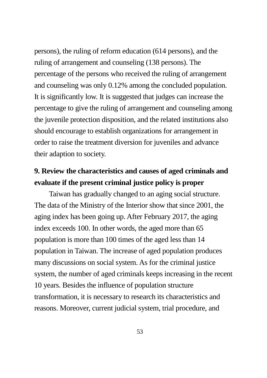persons), the ruling of reform education (614 persons), and the ruling of arrangement and counseling (138 persons). The percentage of the persons who received the ruling of arrangement and counseling was only 0.12% among the concluded population. It is significantly low. It is suggested that judges can increase the percentage to give the ruling of arrangement and counseling among the juvenile protection disposition, and the related institutions also should encourage to establish organizations for arrangement in order to raise the treatment diversion for juveniles and advance their adaption to society.

#### **9. Review the characteristics and causes of aged criminals and evaluate if the present criminal justice policy is proper**

Taiwan has gradually changed to an aging social structure. The data of the Ministry of the Interior show that since 2001, the aging index has been going up. After February 2017, the aging index exceeds 100. In other words, the aged more than 65 population is more than 100 times of the aged less than 14 population in Taiwan. The increase of aged population produces many discussions on social system. As for the criminal justice system, the number of aged criminals keeps increasing in the recent 10 years. Besides the influence of population structure transformation, it is necessary to research its characteristics and reasons. Moreover, current judicial system, trial procedure, and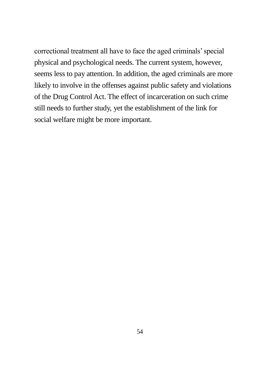correctional treatment all have to face the aged criminals' special physical and psychological needs. The current system, however, seems less to pay attention. In addition, the aged criminals are more likely to involve in the offenses against public safety and violations of the Drug Control Act. The effect of incarceration on such crime still needs to further study, yet the establishment of the link for social welfare might be more important.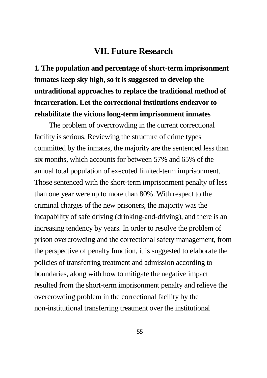#### **VII. Future Research**

**1. The population and percentage of short-term imprisonment inmates keep sky high, so it is suggested to develop the untraditional approaches to replace the traditional method of incarceration. Let the correctional institutions endeavor to rehabilitate the vicious long-term imprisonment inmates**

The problem of overcrowding in the current correctional facility is serious. Reviewing the structure of crime types committed by the inmates, the majority are the sentenced less than six months, which accounts for between 57% and 65% of the annual total population of executed limited-term imprisonment. Those sentenced with the short-term imprisonment penalty of less than one year were up to more than 80%. With respect to the criminal charges of the new prisoners, the majority was the incapability of safe driving (drinking-and-driving), and there is an increasing tendency by years. In order to resolve the problem of prison overcrowding and the correctional safety management, from the perspective of penalty function, it is suggested to elaborate the policies of transferring treatment and admission according to boundaries, along with how to mitigate the negative impact resulted from the short-term imprisonment penalty and relieve the overcrowding problem in the correctional facility by the non-institutional transferring treatment over the institutional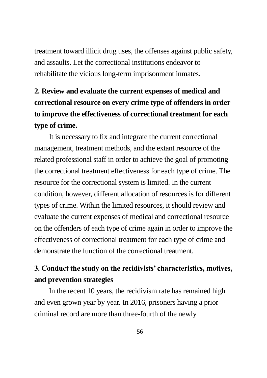treatment toward illicit drug uses, the offenses against public safety, and assaults. Let the correctional institutions endeavor to rehabilitate the vicious long-term imprisonment inmates.

## **2. Review and evaluate the current expenses of medical and correctional resource on every crime type of offenders in order to improve the effectiveness of correctional treatment for each type of crime.**

It is necessary to fix and integrate the current correctional management, treatment methods, and the extant resource of the related professional staff in order to achieve the goal of promoting the correctional treatment effectiveness for each type of crime. The resource for the correctional system is limited. In the current condition, however, different allocation of resources is for different types of crime. Within the limited resources, it should review and evaluate the current expenses of medical and correctional resource on the offenders of each type of crime again in order to improve the effectiveness of correctional treatment for each type of crime and demonstrate the function of the correctional treatment.

### **3. Conduct the study on the recidivists' characteristics, motives, and prevention strategies**

In the recent 10 years, the recidivism rate has remained high and even grown year by year. In 2016, prisoners having a prior criminal record are more than three-fourth of the newly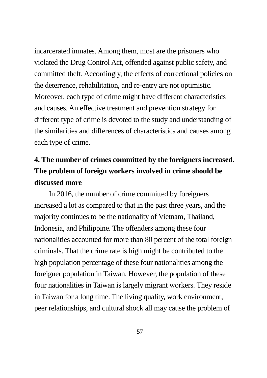incarcerated inmates. Among them, most are the prisoners who violated the Drug Control Act, offended against public safety, and committed theft. Accordingly, the effects of correctional policies on the deterrence, rehabilitation, and re-entry are not optimistic. Moreover, each type of crime might have different characteristics and causes. An effective treatment and prevention strategy for different type of crime is devoted to the study and understanding of the similarities and differences of characteristics and causes among each type of crime.

## **4. The number of crimes committed by the foreigners increased. The problem of foreign workers involved in crime should be discussed more**

In 2016, the number of crime committed by foreigners increased a lot as compared to that in the past three years, and the majority continues to be the nationality of Vietnam, Thailand, Indonesia, and Philippine. The offenders among these four nationalities accounted for more than 80 percent of the total foreign criminals. That the crime rate is high might be contributed to the high population percentage of these four nationalities among the foreigner population in Taiwan. However, the population of these four nationalities in Taiwan is largely migrant workers. They reside in Taiwan for a long time. The living quality, work environment, peer relationships, and cultural shock all may cause the problem of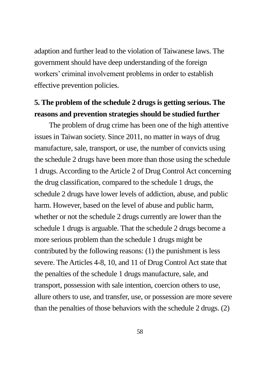adaption and further lead to the violation of Taiwanese laws. The government should have deep understanding of the foreign workers' criminal involvement problems in order to establish effective prevention policies.

#### **5. The problem of the schedule 2 drugs is getting serious. The reasons and prevention strategies should be studied further**

The problem of drug crime has been one of the high attentive issues in Taiwan society. Since 2011, no matter in ways of drug manufacture, sale, transport, or use, the number of convicts using the schedule 2 drugs have been more than those using the schedule 1 drugs. According to the Article 2 of Drug Control Act concerning the drug classification, compared to the schedule 1 drugs, the schedule 2 drugs have lower levels of addiction, abuse, and public harm. However, based on the level of abuse and public harm, whether or not the schedule 2 drugs currently are lower than the schedule 1 drugs is arguable. That the schedule 2 drugs become a more serious problem than the schedule 1 drugs might be contributed by the following reasons: (1) the punishment is less severe. The Articles 4-8, 10, and 11 of Drug Control Act state that the penalties of the schedule 1 drugs manufacture, sale, and transport, possession with sale intention, coercion others to use, allure others to use, and transfer, use, or possession are more severe than the penalties of those behaviors with the schedule 2 drugs. (2)